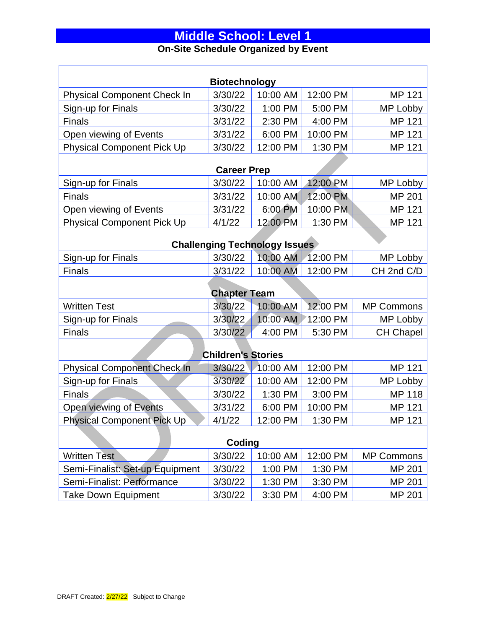#### **Middle School: Level 1 On-Site Schedule Organized by Event**

## **Biotechnology** Physical Component Check In  $\left| \frac{3}{30/22} \right| 10:00$  AM  $\left| \frac{12:00 \text{ PM}}{12:00 \text{ PM}} \right|$  MP 121 Sign-up for Finals **3/30/22** 1:00 PM 5:00 PM MP Lobby Finals 3/31/22 2:30 PM 4:00 PM MP 121 Open viewing of Events  $3/31/22$  6:00 PM 10:00 PM MP 121 Physical Component Pick Up  $\vert$  3/30/22 | 12:00 PM | 1:30 PM | MP 121 **Career Prep** Sign-up for Finals **3/30/22** 10:00 AM 12:00 PM MP Lobby Finals **3/31/22 10:00 AM 12:00 PM MP 201** Open viewing of Events  $3/31/22$  6:00 PM 10:00 PM MP 121 Physical Component Pick Up  $\left| \frac{4}{122} \right|$  12:00 PM | 1:30 PM | MP 121 **Challenging Technology Issues** Sign-up for Finals **3/30/22** 10:00 AM 12:00 PM MP Lobby Finals 3/31/22 10:00 AM 12:00 PM CH 2nd C/D **Chapter Team** Written Test **3/30/22 10:00 AM 12:00 PM MP Commons** Sign-up for Finals 3/30/22 10:00 AM 12:00 PM MP Lobby Finals 3/30/22 4:00 PM 5:30 PM CH Chapel **Children's Stories** Physical Component Check In 3/30/22 10:00 AM 12:00 PM MP 121 Sign-up for Finals 3/30/22 10:00 AM 12:00 PM MP Lobby Finals **3/30/22 1:30 PM 3:00 PM MP 118** Open viewing of Events 3/31/22 6:00 PM 10:00 PM MP 121 Physical Component Pick Up  $\left\langle \frac{4}{12.00} \right\rangle$  12:00 PM 1:30 PM  $\left\langle \frac{4}{12.00} \right\rangle$  MP 121 **Coding** Written Test 3/30/22 10:00 AM 12:00 PM MP Commons Semi-Finalist: Set-up Equipment 3/30/22 1:00 PM 1:30 PM MP 201 Semi-Finalist: Performance 3/30/22 1:30 PM 3:30 PM MP 201

Take Down Equipment  $3/30/22$  3:30 PM 4:00 PM MP 201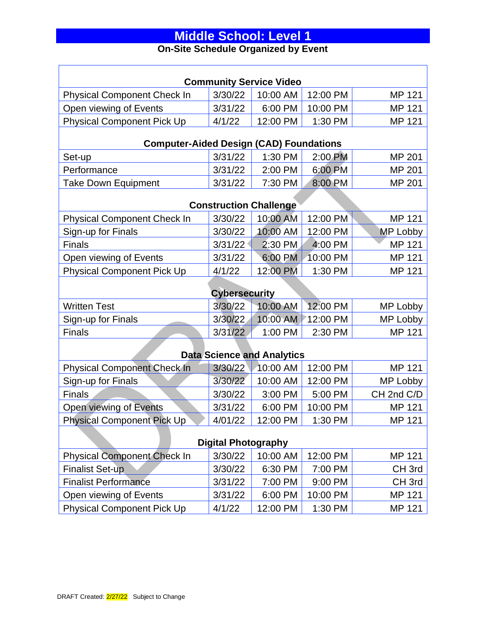#### **On-Site Schedule Organized by Event**

| <b>Community Service Video</b>                 |         |                               |          |                   |
|------------------------------------------------|---------|-------------------------------|----------|-------------------|
| <b>Physical Component Check In</b>             | 3/30/22 | 10:00 AM                      | 12:00 PM | MP 121            |
| Open viewing of Events                         | 3/31/22 | 6:00 PM                       | 10:00 PM | MP 121            |
| <b>Physical Component Pick Up</b>              | 4/1/22  | 12:00 PM                      | 1:30 PM  | MP 121            |
| <b>Computer-Aided Design (CAD) Foundations</b> |         |                               |          |                   |
| Set-up                                         | 3/31/22 | 1:30 PM                       | 2:00 PM  | MP 201            |
| Performance                                    | 3/31/22 | 2:00 PM                       | 6:00 PM  | MP 201            |
| <b>Take Down Equipment</b>                     | 3/31/22 | 7:30 PM                       | 8:00 PM  | <b>MP 201</b>     |
|                                                |         | <b>Construction Challenge</b> |          |                   |
| <b>Physical Component Check In</b>             | 3/30/22 | 10:00 AM                      | 12:00 PM | MP 121            |
| Sign-up for Finals                             | 3/30/22 | 10:00 AM                      | 12:00 PM | MP Lobby          |
| <b>Finals</b>                                  | 3/31/22 | 2:30 PM                       | 4:00 PM  | MP 121            |
| Open viewing of Events                         | 3/31/22 | 6:00 PM                       | 10:00 PM | MP 121            |
| <b>Physical Component Pick Up</b>              | 4/1/22  | 12:00 PM                      | 1:30 PM  | MP 121            |
| <b>Cybersecurity</b>                           |         |                               |          |                   |
| <b>Written Test</b>                            | 3/30/22 | 10:00 AM                      | 12:00 PM | MP Lobby          |
| Sign-up for Finals                             | 3/30/22 | 10:00 AM                      | 12:00 PM | MP Lobby          |
| Finals                                         | 3/31/22 | 1:00 PM                       | 2:30 PM  | MP 121            |
| <b>Data Science and Analytics</b>              |         |                               |          |                   |
| <b>Physical Component Check In</b>             | 3/30/22 | 10:00 AM                      | 12:00 PM | <b>MP 121</b>     |
| Sign-up for Finals                             | 3/30/22 | 10:00 AM                      | 12:00 PM | MP Lobby          |
| <b>Finals</b>                                  | 3/30/22 | 3:00 PM                       | 5:00 PM  | CH 2nd C/D        |
| Open viewing of Events                         | 3/31/22 | 6:00 PM                       | 10:00 PM | MP 121            |
| <b>Physical Component Pick Up</b>              | 4/01/22 | 12:00 PM                      | 1:30 PM  | MP 121            |
| <b>Digital Photography</b>                     |         |                               |          |                   |
| <b>Physical Component Check In</b>             | 3/30/22 | 10:00 AM                      | 12:00 PM | MP 121            |
| <b>Finalist Set-up</b>                         | 3/30/22 | 6:30 PM                       | 7:00 PM  | CH <sub>3rd</sub> |
| <b>Finalist Performance</b>                    | 3/31/22 | 7:00 PM                       | 9:00 PM  | CH <sub>3rd</sub> |
| Open viewing of Events                         | 3/31/22 | 6:00 PM                       | 10:00 PM | MP 121            |
| <b>Physical Component Pick Up</b>              | 4/1/22  | 12:00 PM                      | 1:30 PM  | MP 121            |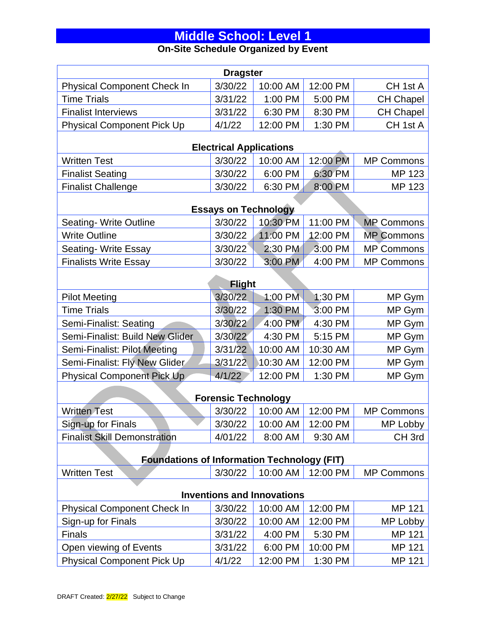#### **On-Site Schedule Organized by Event**

| <b>Dragster</b>                                    |                                |          |          |                   |  |
|----------------------------------------------------|--------------------------------|----------|----------|-------------------|--|
| <b>Physical Component Check In</b>                 | 3/30/22                        | 10:00 AM | 12:00 PM | CH 1st A          |  |
| <b>Time Trials</b>                                 | 3/31/22                        | 1:00 PM  | 5:00 PM  | <b>CH Chapel</b>  |  |
| <b>Finalist Interviews</b>                         | 3/31/22                        | 6:30 PM  | 8:30 PM  | <b>CH Chapel</b>  |  |
| <b>Physical Component Pick Up</b>                  | 4/1/22                         | 12:00 PM | 1:30 PM  | CH 1st A          |  |
|                                                    | <b>Electrical Applications</b> |          |          |                   |  |
| <b>Written Test</b>                                | 3/30/22                        | 10:00 AM | 12:00 PM | <b>MP Commons</b> |  |
| <b>Finalist Seating</b>                            | 3/30/22                        | 6:00 PM  | 6:30 PM  | MP 123            |  |
| <b>Finalist Challenge</b>                          | 3/30/22                        | 6:30 PM  | 8:00 PM  | <b>MP 123</b>     |  |
|                                                    | <b>Essays on Technology</b>    |          |          |                   |  |
| Seating- Write Outline                             | 3/30/22                        | 10:30 PM | 11:00 PM | <b>MP Commons</b> |  |
| <b>Write Outline</b>                               | 3/30/22                        | 11:00 PM | 12:00 PM | <b>MP Commons</b> |  |
| Seating- Write Essay                               | 3/30/22                        | 2:30 PM  | 3:00 PM  | <b>MP Commons</b> |  |
| <b>Finalists Write Essay</b>                       | 3/30/22                        | 3:00 PM  | 4:00 PM  | <b>MP Commons</b> |  |
|                                                    | <b>Flight</b>                  |          |          |                   |  |
| <b>Pilot Meeting</b>                               | 3/30/22                        | 1:00 PM  | 1:30 PM  | MP Gym            |  |
| <b>Time Trials</b>                                 | 3/30/22                        | 1:30 PM  | 3:00 PM  | MP Gym            |  |
| Semi-Finalist: Seating                             | 3/30/22                        | 4:00 PM  | 4:30 PM  | MP Gym            |  |
| Semi-Finalist: Build New Glider                    | 3/30/22                        | 4:30 PM  | 5:15 PM  | MP Gym            |  |
| Semi-Finalist: Pilot Meeting                       | 3/31/22                        | 10:00 AM | 10:30 AM | MP Gym            |  |
| Semi-Finalist: Fly New Glider                      | 3/31/22                        | 10:30 AM | 12:00 PM | MP Gym            |  |
| <b>Physical Component Pick Up</b>                  | 4/1/22                         | 12:00 PM | 1:30 PM  | MP Gym            |  |
| <b>Forensic Technology</b>                         |                                |          |          |                   |  |
| <b>Written Test</b>                                | 3/30/22                        | 10:00 AM | 12:00 PM | <b>MP Commons</b> |  |
| Sign-up for Finals                                 | 3/30/22                        | 10:00 AM | 12:00 PM | MP Lobby          |  |
| <b>Finalist Skill Demonstration</b>                | 4/01/22                        | 8:00 AM  | 9:30 AM  | CH <sub>3rd</sub> |  |
| <b>Foundations of Information Technology (FIT)</b> |                                |          |          |                   |  |
| <b>Written Test</b>                                | 3/30/22                        | 10:00 AM | 12:00 PM | <b>MP Commons</b> |  |
| <b>Inventions and Innovations</b>                  |                                |          |          |                   |  |
| <b>Physical Component Check In</b>                 | 3/30/22                        | 10:00 AM | 12:00 PM | MP 121            |  |
| Sign-up for Finals                                 | 3/30/22                        | 10:00 AM | 12:00 PM | MP Lobby          |  |
| <b>Finals</b>                                      | 3/31/22                        | 4:00 PM  | 5:30 PM  | MP 121            |  |
| Open viewing of Events                             | 3/31/22                        | 6:00 PM  | 10:00 PM | MP 121            |  |
| <b>Physical Component Pick Up</b>                  | 4/1/22                         | 12:00 PM | 1:30 PM  | MP 121            |  |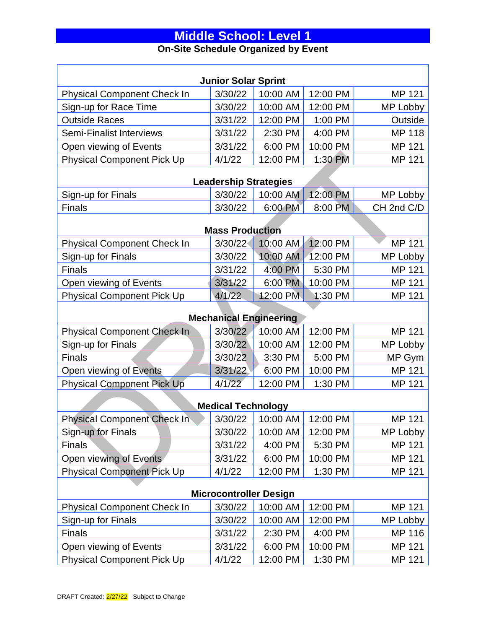#### **On-Site Schedule Organized by Event**

| <b>Junior Solar Sprint</b>         |                              |          |          |               |  |
|------------------------------------|------------------------------|----------|----------|---------------|--|
| <b>Physical Component Check In</b> | 3/30/22                      | 10:00 AM | 12:00 PM | MP 121        |  |
| Sign-up for Race Time              | 3/30/22                      | 10:00 AM | 12:00 PM | MP Lobby      |  |
| <b>Outside Races</b>               | 3/31/22                      | 12:00 PM | 1:00 PM  | Outside       |  |
| <b>Semi-Finalist Interviews</b>    | 3/31/22                      | 2:30 PM  | 4:00 PM  | <b>MP 118</b> |  |
| Open viewing of Events             | 3/31/22                      | 6:00 PM  | 10:00 PM | MP 121        |  |
| <b>Physical Component Pick Up</b>  | 4/1/22                       | 12:00 PM | 1:30 PM  | MP 121        |  |
|                                    | <b>Leadership Strategies</b> |          |          |               |  |
| Sign-up for Finals                 | 3/30/22                      | 10:00 AM | 12:00 PM | MP Lobby      |  |
| <b>Finals</b>                      | 3/30/22                      | 6:00 PM  | 8:00 PM  | CH 2nd C/D    |  |
|                                    |                              |          |          |               |  |
|                                    | <b>Mass Production</b>       |          |          |               |  |
| <b>Physical Component Check In</b> | 3/30/22                      | 10:00 AM | 12:00 PM | MP 121        |  |
| Sign-up for Finals                 | 3/30/22                      | 10:00 AM | 12:00 PM | MP Lobby      |  |
| <b>Finals</b>                      | 3/31/22                      | 4:00 PM  | 5:30 PM  | MP 121        |  |
| Open viewing of Events             | 3/31/22                      | 6:00 PM  | 10:00 PM | MP 121        |  |
| <b>Physical Component Pick Up</b>  | 4/1/22                       | 12:00 PM | 1:30 PM  | MP 121        |  |
| <b>Mechanical Engineering</b>      |                              |          |          |               |  |
| <b>Physical Component Check In</b> | 3/30/22                      | 10:00 AM | 12:00 PM | <b>MP 121</b> |  |
| Sign-up for Finals                 | 3/30/22                      | 10:00 AM | 12:00 PM | MP Lobby      |  |
| <b>Finals</b>                      | 3/30/22                      | 3:30 PM  | 5:00 PM  | MP Gym        |  |
| Open viewing of Events             | 3/31/22                      | 6:00 PM  | 10:00 PM | MP 121        |  |
| <b>Physical Component Pick Up</b>  | 4/1/22                       | 12:00 PM | 1:30 PM  | MP 121        |  |
| <b>Medical Technology</b>          |                              |          |          |               |  |
| <b>Physical Component Check In</b> | 3/30/22                      | 10:00 AM | 12:00 PM | <b>MP 121</b> |  |
| Sign-up for Finals                 | 3/30/22                      | 10:00 AM | 12:00 PM | MP Lobby      |  |
| <b>Finals</b>                      | 3/31/22                      | 4:00 PM  | 5:30 PM  | MP 121        |  |
| Open viewing of Events             | 3/31/22                      | 6:00 PM  | 10:00 PM | MP 121        |  |
| <b>Physical Component Pick Up</b>  | 4/1/22                       | 12:00 PM | 1:30 PM  | MP 121        |  |
| <b>Microcontroller Design</b>      |                              |          |          |               |  |
| <b>Physical Component Check In</b> | 3/30/22                      | 10:00 AM | 12:00 PM | MP 121        |  |
| Sign-up for Finals                 | 3/30/22                      | 10:00 AM | 12:00 PM | MP Lobby      |  |
| <b>Finals</b>                      | 3/31/22                      | 2:30 PM  | 4:00 PM  | MP 116        |  |
| Open viewing of Events             | 3/31/22                      | 6:00 PM  | 10:00 PM | MP 121        |  |
| <b>Physical Component Pick Up</b>  | 4/1/22                       | 12:00 PM | 1:30 PM  | MP 121        |  |

Г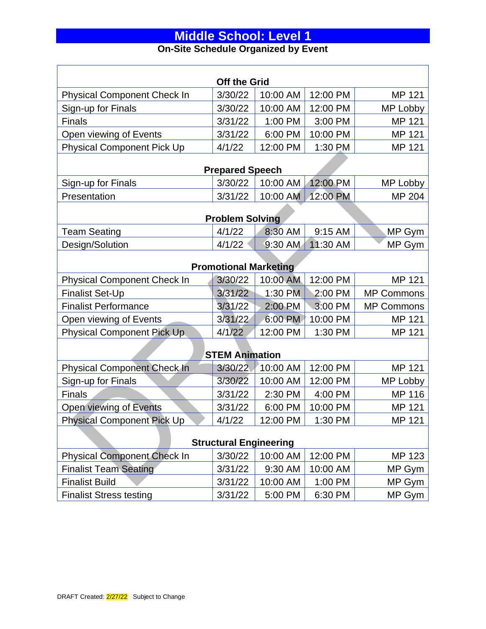### **Middle School: Level 1 On-Site Schedule Organized by Event**

| <b>Off the Grid</b>                |                        |          |           |                   |
|------------------------------------|------------------------|----------|-----------|-------------------|
| <b>Physical Component Check In</b> | 3/30/22                | 10:00 AM | 12:00 PM  | MP 121            |
| Sign-up for Finals                 | 3/30/22                | 10:00 AM | 12:00 PM  | MP Lobby          |
| <b>Finals</b>                      | 3/31/22                | 1:00 PM  | 3:00 PM   | MP 121            |
| Open viewing of Events             | 3/31/22                | 6:00 PM  | 10:00 PM  | MP 121            |
| <b>Physical Component Pick Up</b>  | 4/1/22                 | 12:00 PM | 1:30 P.M. | MP 121            |
|                                    |                        |          |           |                   |
|                                    | <b>Prepared Speech</b> |          |           |                   |
| Sign-up for Finals                 | 3/30/22                | 10:00 AM | 12:00 PM  | MP Lobby          |
| Presentation                       | 3/31/22                | 10:00 AM | 12:00 PM  | MP 204            |
|                                    | <b>Problem Solving</b> |          |           |                   |
| <b>Team Seating</b>                | 4/1/22                 | 8:30 AM  | 9:15 AM   | MP Gym            |
| Design/Solution                    | 4/1/22                 | 9:30 AM  | 11:30 AM  | MP Gym            |
| <b>Promotional Marketing</b>       |                        |          |           |                   |
| <b>Physical Component Check In</b> | 3/30/22                | 10:00 AM | 12:00 PM  | <b>MP 121</b>     |
| <b>Finalist Set-Up</b>             | 3/31/22                | 1:30 PM  | 2:00 PM   | <b>MP Commons</b> |
| <b>Finalist Performance</b>        | 3/31/22                | 2:00 PM  | 3:00 PM   | <b>MP Commons</b> |
| Open viewing of Events             | 3/31/22                | 6:00 PM  | 10:00 PM  | MP 121            |
| Physical Component Pick Up.        | 4/1/22                 | 12:00 PM | 1:30 PM   | MP 121            |
| <b>STEM Animation</b>              |                        |          |           |                   |
| Physical Component Check In        | 3/30/22                | 10:00 AM | 12:00 PM  | MP 121            |
| Sign-up for Finals                 | 3/30/22                | 10:00 AM | 12:00 PM  | MP Lobby          |
| <b>Finals</b>                      | 3/31/22                | 2:30 PM  | 4:00 PM   | MP 116            |
| Open viewing of Events             | 3/31/22                | 6:00 PM  | 10:00 PM  | MP 121            |
| <b>Physical Component Pick Up</b>  | $\bigcup$ 4/1/22       | 12:00 PM | 1:30 PM   | MP 121            |
|                                    |                        |          |           |                   |
| <b>Structural Engineering</b>      |                        |          |           |                   |
| <b>Physical Component Check In</b> | 3/30/22                | 10:00 AM | 12:00 PM  | MP 123            |
| <b>Finalist Team Seating</b>       | 3/31/22                | 9:30 AM  | 10:00 AM  | MP Gym            |
| <b>Finalist Build</b>              | 3/31/22                | 10:00 AM | 1:00 PM   | MP Gym            |
| <b>Finalist Stress testing</b>     | 3/31/22                | 5:00 PM  | 6:30 PM   | MP Gym            |